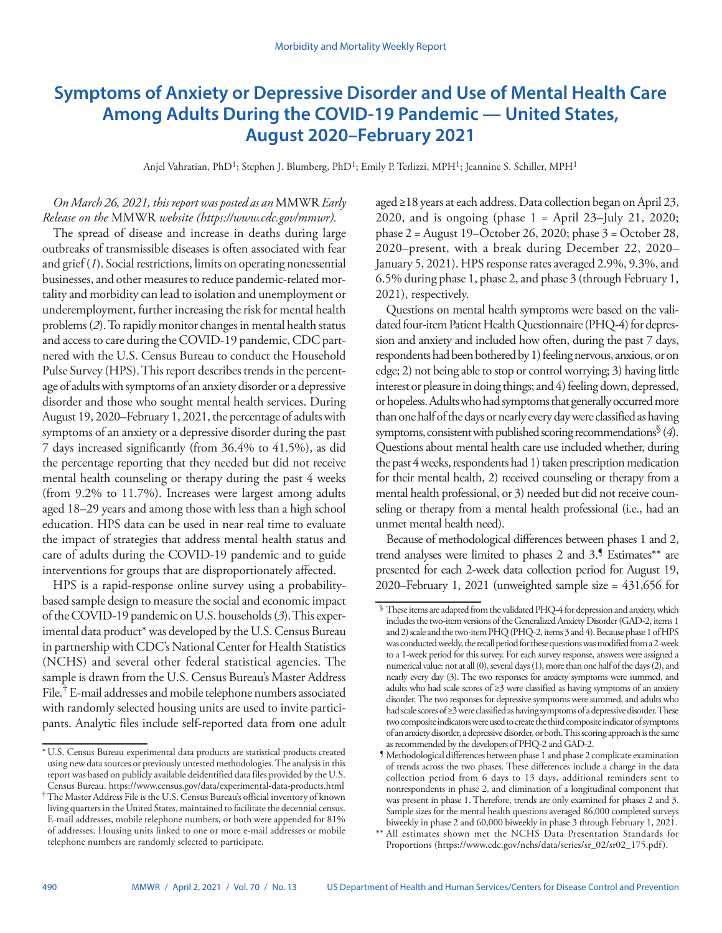# **Symptoms of Anxiety or Depressive Disorder and Use of Mental Health Care Among Adults During the COVID-19 Pandemic — United States, August 2020–February 2021**

Anjel Vahratian, PhD1; Stephen J. Blumberg, PhD1; Emily P. Terlizzi, MPH1; Jeannine S. Schiller, MPH1

# *On March 26, 2021, this report was posted as an* MMWR *Early Release on the* MMWR *website ([https://www.cdc.gov/mmwr\)](https://www.cdc.gov/mmwr).*

The spread of disease and increase in deaths during large outbreaks of transmissible diseases is often associated with fear and grief (*1*). Social restrictions, limits on operating nonessential businesses, and other measures to reduce pandemic-related mortality and morbidity can lead to isolation and unemployment or underemployment, further increasing the risk for mental health problems (*2*). To rapidly monitor changes in mental health status and access to care during the COVID-19 pandemic, CDC partnered with the U.S. Census Bureau to conduct the Household Pulse Survey (HPS). This report describes trends in the percentage of adults with symptoms of an anxiety disorder or a depressive disorder and those who sought mental health services. During August 19, 2020–February 1, 2021, the percentage of adults with symptoms of an anxiety or a depressive disorder during the past 7 days increased significantly (from 36.4% to 41.5%), as did the percentage reporting that they needed but did not receive mental health counseling or therapy during the past 4 weeks (from 9.2% to 11.7%). Increases were largest among adults aged 18–29 years and among those with less than a high school education. HPS data can be used in near real time to evaluate the impact of strategies that address mental health status and care of adults during the COVID-19 pandemic and to guide interventions for groups that are disproportionately affected.

HPS is a rapid-response online survey using a probabilitybased sample design to measure the social and economic impact of the COVID-19 pandemic on U.S. households (*3*). This experimental data product\* was developed by the U.S. Census Bureau in partnership with CDC's National Center for Health Statistics (NCHS) and several other federal statistical agencies. The sample is drawn from the U.S. Census Bureau's Master Address File.† E-mail addresses and mobile telephone numbers associated with randomly selected housing units are used to invite participants. Analytic files include self-reported data from one adult aged ≥18 years at each address. Data collection began on April 23, 2020, and is ongoing (phase  $1 =$  April 23–July 21, 2020; phase 2 = August 19–October 26, 2020; phase 3 = October 28, 2020–present, with a break during December 22, 2020– January 5, 2021). HPS response rates averaged 2.9%, 9.3%, and 6.5% during phase 1, phase 2, and phase 3 (through February 1, 2021), respectively.

Questions on mental health symptoms were based on the validated four-item Patient Health Questionnaire (PHQ-4) for depression and anxiety and included how often, during the past 7 days, respondents had been bothered by 1) feeling nervous, anxious, or on edge; 2) not being able to stop or control worrying; 3) having little interest or pleasure in doing things; and 4) feeling down, depressed, or hopeless. Adults who had symptoms that generally occurred more than one half of the days or nearly every day were classified as having symptoms, consistent with published scoring recommendations§ (*4*). Questions about mental health care use included whether, during the past 4 weeks, respondents had 1) taken prescription medication for their mental health, 2) received counseling or therapy from a mental health professional, or 3) needed but did not receive counseling or therapy from a mental health professional (i.e., had an unmet mental health need).

Because of methodological differences between phases 1 and 2, trend analyses were limited to phases 2 and 3.<sup>5</sup> Estimates\*\* are presented for each 2-week data collection period for August 19, 2020–February 1, 2021 (unweighted sample size = 431,656 for

<sup>\*</sup>U.S. Census Bureau experimental data products are statistical products created using new data sources or previously untested methodologies. The analysis in this report was based on publicly available deidentified data files provided by the U.S. Census Bureau. [https://www.census.gov/data/experimental-data-products.html](https://www.census.gov/data/experimental-data-products.html )

<sup>†</sup>The Master Address File is the U.S. Census Bureau's official inventory of known living quarters in the United States, maintained to facilitate the decennial census. E-mail addresses, mobile telephone numbers, or both were appended for 81% of addresses. Housing units linked to one or more e-mail addresses or mobile telephone numbers are randomly selected to participate.

<sup>§</sup> These items are adapted from the validated PHQ-4 for depression and anxiety, which includes the two-item versions of the Generalized Anxiety Disorder (GAD-2, items 1 and 2) scale and the two-item PHQ (PHQ-2, items 3 and 4). Because phase 1 of HPS was conducted weekly, the recall period for these questions was modified from a 2-week to a 1-week period for this survey. For each survey response, answers were assigned a numerical value: not at all (0), several days (1), more than one half of the days (2), and nearly every day (3). The two responses for anxiety symptoms were summed, and adults who had scale scores of ≥3 were classified as having symptoms of an anxiety disorder. The two responses for depressive symptoms were summed, and adults who had scale scores of ≥3 were classified as having symptoms of a depressive disorder. These two composite indicators were used to create the third composite indicator of symptoms of an anxiety disorder, a depressive disorder, or both. This scoring approach is the same as recommended by the developers of PHQ-2 and GAD-2.

<sup>¶</sup> Methodological differences between phase 1 and phase 2 complicate examination of trends across the two phases. These differences include a change in the data collection period from 6 days to 13 days, additional reminders sent to nonrespondents in phase 2, and elimination of a longitudinal component that was present in phase 1. Therefore, trends are only examined for phases 2 and 3. Sample sizes for the mental health questions averaged 86,000 completed surveys biweekly in phase 2 and 60,000 biweekly in phase 3 through February 1, 2021.

<sup>\*\*</sup> All estimates shown met the NCHS Data Presentation Standards for Proportions [\(https://www.cdc.gov/nchs/data/series/sr\\_02/sr02\\_175.pdf](https://www.cdc.gov/nchs/data/series/sr_02/sr02_175.pdf)).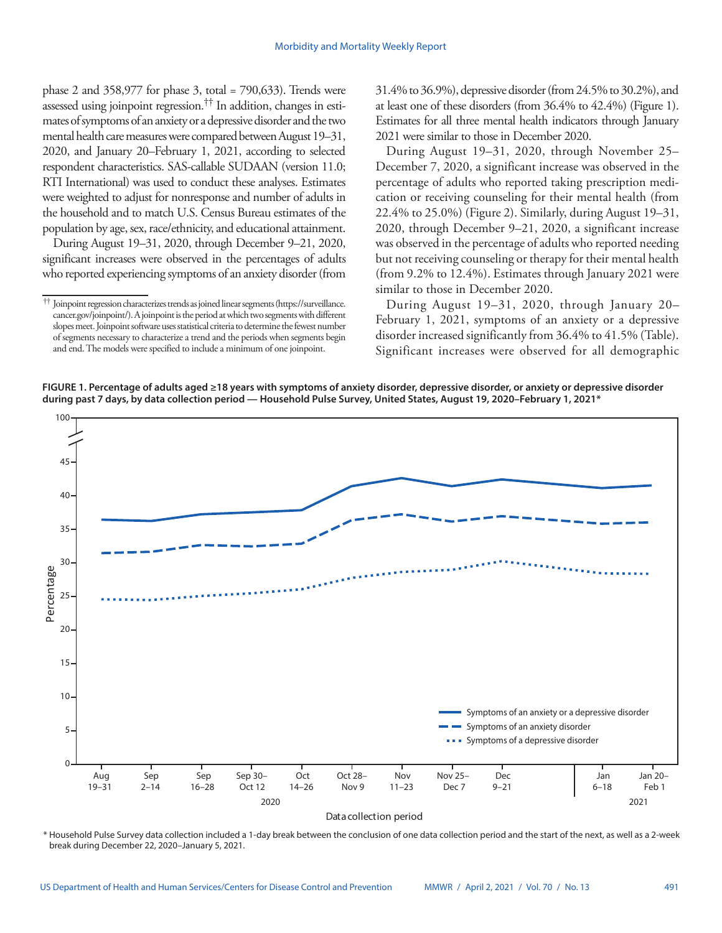phase 2 and 358,977 for phase 3, total = 790,633). Trends were assessed using joinpoint regression.†† In addition, changes in estimates of symptoms of an anxiety or a depressive disorder and the two mental health care measures were compared between August 19–31, 2020, and January 20–February 1, 2021, according to selected respondent characteristics. SAS-callable SUDAAN (version 11.0; RTI International) was used to conduct these analyses. Estimates were weighted to adjust for nonresponse and number of adults in the household and to match U.S. Census Bureau estimates of the population by age, sex, race/ethnicity, and educational attainment.

During August 19–31, 2020, through December 9–21, 2020, significant increases were observed in the percentages of adults who reported experiencing symptoms of an anxiety disorder (from 31.4% to 36.9%), depressive disorder (from 24.5% to 30.2%), and at least one of these disorders (from 36.4% to 42.4%) (Figure 1). Estimates for all three mental health indicators through January 2021 were similar to those in December 2020.

During August 19–31, 2020, through November 25– December 7, 2020, a significant increase was observed in the percentage of adults who reported taking prescription medication or receiving counseling for their mental health (from 22.4% to 25.0%) (Figure 2). Similarly, during August 19–31, 2020, through December 9–21, 2020, a significant increase was observed in the percentage of adults who reported needing but not receiving counseling or therapy for their mental health (from 9.2% to 12.4%). Estimates through January 2021 were similar to those in December 2020.

During August 19–31, 2020, through January 20– February 1, 2021, symptoms of an anxiety or a depressive disorder increased significantly from 36.4% to 41.5% (Table). Significant increases were observed for all demographic





\* Household Pulse Survey data collection included a 1-day break between the conclusion of one data collection period and the start of the next, as well as a 2-week break during December 22, 2020–January 5, 2021.

<sup>††</sup> Joinpoint regression characterizes trends as joined linear segments [\(https://surveillance.](https://surveillance.cancer.gov/joinpoint/) [cancer.gov/joinpoint/](https://surveillance.cancer.gov/joinpoint/)). A joinpoint is the period at which two segments with different slopes meet. Joinpoint software uses statistical criteria to determine the fewest number of segments necessary to characterize a trend and the periods when segments begin and end. The models were specified to include a minimum of one joinpoint.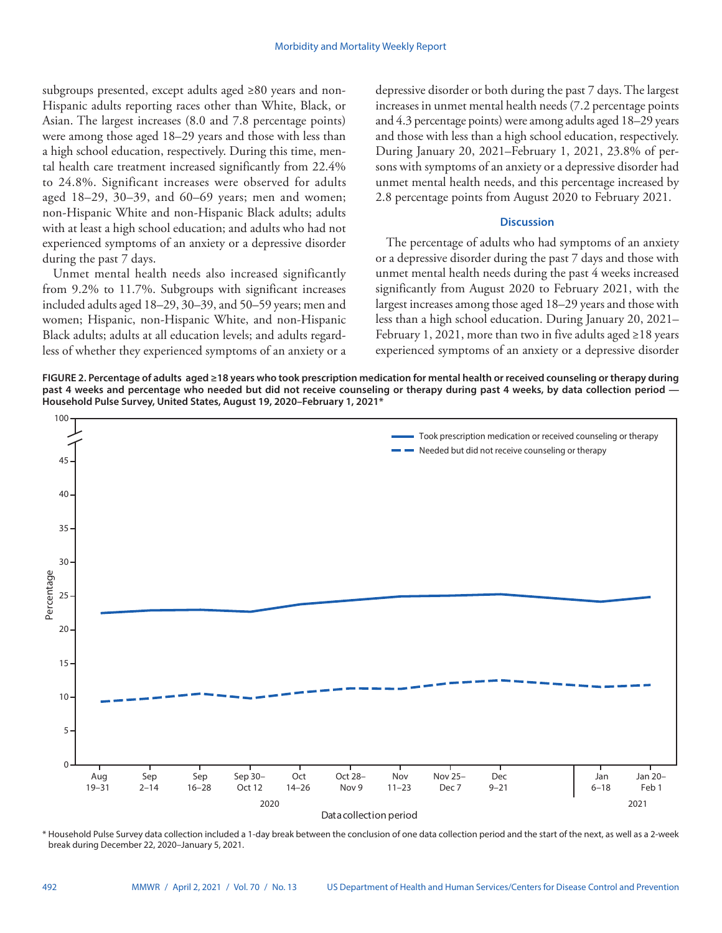subgroups presented, except adults aged ≥80 years and non-Hispanic adults reporting races other than White, Black, or Asian. The largest increases (8.0 and 7.8 percentage points) were among those aged 18–29 years and those with less than a high school education, respectively. During this time, mental health care treatment increased significantly from 22.4% to 24.8%. Significant increases were observed for adults aged 18–29, 30–39, and 60–69 years; men and women; non-Hispanic White and non-Hispanic Black adults; adults with at least a high school education; and adults who had not experienced symptoms of an anxiety or a depressive disorder during the past 7 days.

Unmet mental health needs also increased significantly from 9.2% to 11.7%. Subgroups with significant increases included adults aged 18–29, 30–39, and 50–59 years; men and women; Hispanic, non-Hispanic White, and non-Hispanic Black adults; adults at all education levels; and adults regardless of whether they experienced symptoms of an anxiety or a depressive disorder or both during the past 7 days. The largest increases in unmet mental health needs (7.2 percentage points and 4.3 percentage points) were among adults aged 18–29 years and those with less than a high school education, respectively. During January 20, 2021–February 1, 2021, 23.8% of persons with symptoms of an anxiety or a depressive disorder had unmet mental health needs, and this percentage increased by 2.8 percentage points from August 2020 to February 2021.

#### **Discussion**

The percentage of adults who had symptoms of an anxiety or a depressive disorder during the past 7 days and those with unmet mental health needs during the past 4 weeks increased significantly from August 2020 to February 2021, with the largest increases among those aged 18–29 years and those with less than a high school education. During January 20, 2021– February 1, 2021, more than two in five adults aged  $\geq$ 18 years experienced symptoms of an anxiety or a depressive disorder

**FIGURE 2. Percentage of adults aged ≥18 years who took prescription medication for mental health or received counseling or therapy during**  past 4 weeks and percentage who needed but did not receive counseling or therapy during past 4 weeks, by data collection period -**Household Pulse Survey, United States, August 19, 2020–February 1, 2021\***



\* Household Pulse Survey data collection included a 1-day break between the conclusion of one data collection period and the start of the next, as well as a 2-week break during December 22, 2020–January 5, 2021.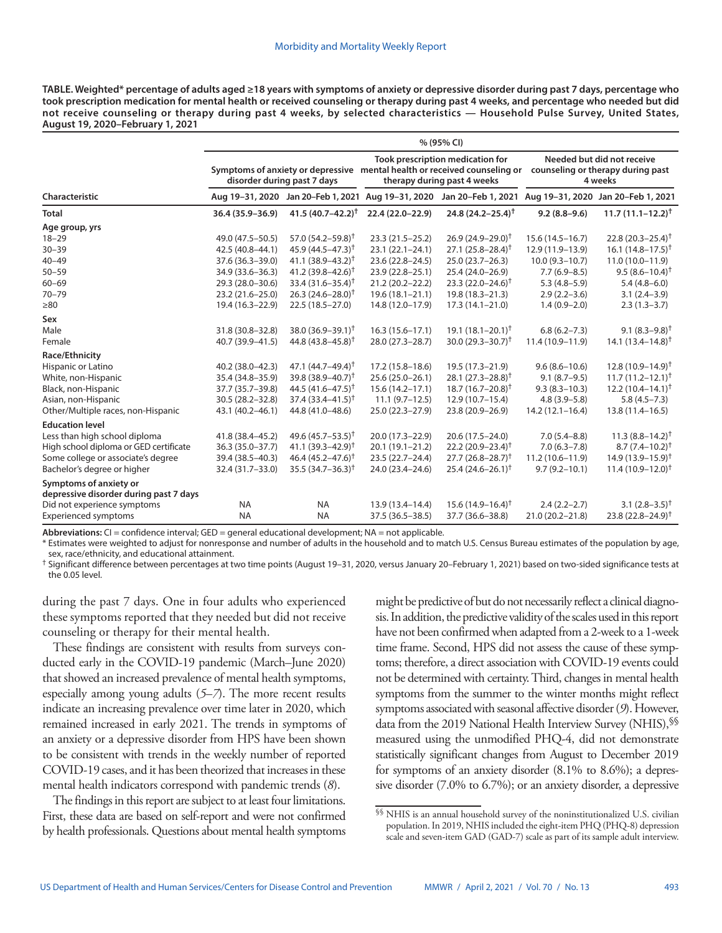**TABLE. Weighted\* percentage of adults aged ≥18 years with symptoms of anxiety or depressive disorder during past 7 days, percentage who took prescription medication for mental health or received counseling or therapy during past 4 weeks, and percentage who needed but did not receive counseling or therapy during past 4 weeks, by selected characteristics — Household Pulse Survey, United States, August 19, 2020–February 1, 2021**

|                                                                  | % (95% CI)                  |                                    |                                                                                                                                              |                                |                                                                            |                                    |
|------------------------------------------------------------------|-----------------------------|------------------------------------|----------------------------------------------------------------------------------------------------------------------------------------------|--------------------------------|----------------------------------------------------------------------------|------------------------------------|
|                                                                  | disorder during past 7 days |                                    | Took prescription medication for<br>Symptoms of anxiety or depressive mental health or received counseling or<br>therapy during past 4 weeks |                                | Needed but did not receive<br>counseling or therapy during past<br>4 weeks |                                    |
| Characteristic                                                   | Aug 19-31, 2020             | Jan 20-Feb 1, 2021 Aug 19-31, 2020 |                                                                                                                                              | Jan 20-Feb 1, 2021             |                                                                            | Aug 19-31, 2020 Jan 20-Feb 1, 2021 |
| <b>Total</b>                                                     | 36.4 (35.9-36.9)            | 41.5 $(40.7 - 42.2)^{\dagger}$     | 22.4 (22.0-22.9)                                                                                                                             | 24.8 $(24.2 - 25.4)^{\dagger}$ | $9.2(8.8-9.6)$                                                             | $11.7(11.1 - 12.2)^{\dagger}$      |
| Age group, yrs                                                   |                             |                                    |                                                                                                                                              |                                |                                                                            |                                    |
| $18 - 29$                                                        | 49.0 (47.5-50.5)            | 57.0 $(54.2 - 59.8)^{\dagger}$     | $23.3(21.5 - 25.2)$                                                                                                                          | 26.9 (24.9-29.0) <sup>†</sup>  | $15.6(14.5 - 16.7)$                                                        | 22.8 $(20.3 - 25.4)^{\dagger}$     |
| $30 - 39$                                                        | 42.5 (40.8-44.1)            | 45.9 $(44.5 - 47.3)^{\dagger}$     | $23.1(22.1 - 24.1)$                                                                                                                          | $27.1 (25.8 - 28.4)^{\dagger}$ | 12.9 (11.9-13.9)                                                           | $16.1(14.8 - 17.5)^{\dagger}$      |
| $40 - 49$                                                        | 37.6 (36.3-39.0)            | $41.1 (38.9 - 43.2)^{+}$           | 23.6 (22.8-24.5)                                                                                                                             | $25.0(23.7 - 26.3)$            | $10.0(9.3 - 10.7)$                                                         | $11.0(10.0 - 11.9)$                |
| $50 - 59$                                                        | 34.9 (33.6-36.3)            | 41.2 $(39.8 - 42.6)^{\dagger}$     | 23.9 (22.8-25.1)                                                                                                                             | 25.4 (24.0-26.9)               | $7.7(6.9 - 8.5)$                                                           | $9.5(8.6 - 10.4)^{\dagger}$        |
| $60 - 69$                                                        | 29.3 (28.0-30.6)            | $33.4(31.6 - 35.4)^{\dagger}$      | 21.2 (20.2-22.2)                                                                                                                             | $23.3(22.0-24.6)$ <sup>†</sup> | $5.3(4.8-5.9)$                                                             | $5.4(4.8-6.0)$                     |
| $70 - 79$                                                        | 23.2 (21.6-25.0)            | $26.3(24.6 - 28.0)^{\dagger}$      | $19.6(18.1 - 21.1)$                                                                                                                          | 19.8 (18.3-21.3)               | $2.9(2.2 - 3.6)$                                                           | $3.1(2.4-3.9)$                     |
| $\geq 80$                                                        | 19.4 (16.3-22.9)            | $22.5(18.5-27.0)$                  | 14.8 (12.0-17.9)                                                                                                                             | $17.3(14.1 - 21.0)$            | $1.4(0.9-2.0)$                                                             | $2.3(1.3-3.7)$                     |
| Sex                                                              |                             |                                    |                                                                                                                                              |                                |                                                                            |                                    |
| Male                                                             | 31.8 (30.8-32.8)            | $38.0 (36.9 - 39.1)^{\dagger}$     | $16.3(15.6 - 17.1)$                                                                                                                          | 19.1 $(18.1 - 20.1)^{\dagger}$ | $6.8(6.2 - 7.3)$                                                           | $9.1 (8.3 - 9.8)^{\dagger}$        |
| Female                                                           | 40.7 (39.9-41.5)            | 44.8 $(43.8 - 45.8)^{\dagger}$     | 28.0 (27.3-28.7)                                                                                                                             | 30.0 $(29.3 - 30.7)^{\dagger}$ | 11.4 (10.9-11.9)                                                           | $14.1(13.4 - 14.8)^{+}$            |
| Race/Ethnicity                                                   |                             |                                    |                                                                                                                                              |                                |                                                                            |                                    |
| Hispanic or Latino                                               | 40.2 (38.0-42.3)            | 47.1 $(44.7 - 49.4)^{\dagger}$     | $17.2(15.8 - 18.6)$                                                                                                                          | 19.5 (17.3-21.9)               | $9.6(8.6 - 10.6)$                                                          | $12.8(10.9 - 14.9)^{\dagger}$      |
| White, non-Hispanic                                              | 35.4 (34.8-35.9)            | $39.8(38.9 - 40.7)^{\dagger}$      | 25.6 (25.0-26.1)                                                                                                                             | $28.1 (27.3 - 28.8)^{\dagger}$ | $9.1(8.7-9.5)$                                                             | $11.7(11.2 - 12.1)^{\dagger}$      |
| Black, non-Hispanic                                              | 37.7 (35.7-39.8)            | 44.5 $(41.6 - 47.5)^{\dagger}$     | $15.6(14.2 - 17.1)$                                                                                                                          | $18.7(16.7-20.8)^{+}$          | $9.3(8.3 - 10.3)$                                                          | $12.2(10.4 - 14.1)^{\dagger}$      |
| Asian, non-Hispanic                                              | 30.5 (28.2-32.8)            | $37.4(33.4 - 41.5)^{\dagger}$      | $11.1(9.7-12.5)$                                                                                                                             | $12.9(10.7-15.4)$              | $4.8(3.9 - 5.8)$                                                           | $5.8(4.5 - 7.3)$                   |
| Other/Multiple races, non-Hispanic                               | 43.1 (40.2-46.1)            | 44.8 (41.0-48.6)                   | 25.0 (22.3-27.9)                                                                                                                             | 23.8 (20.9-26.9)               | $14.2(12.1 - 16.4)$                                                        | $13.8(11.4 - 16.5)$                |
| <b>Education level</b>                                           |                             |                                    |                                                                                                                                              |                                |                                                                            |                                    |
| Less than high school diploma                                    | 41.8 (38.4-45.2)            | 49.6 $(45.7 - 53.5)^{\dagger}$     | 20.0 (17.3-22.9)                                                                                                                             | 20.6 (17.5-24.0)               | $7.0(5.4 - 8.8)$                                                           | $11.3(8.8 - 14.2)^{+}$             |
| High school diploma or GED certificate                           | 36.3 (35.0-37.7)            | 41.1 $(39.3 - 42.9)^{\dagger}$     | $20.1(19.1 - 21.2)$                                                                                                                          | $22.2(20.9 - 23.4)^{\dagger}$  | $7.0(6.3 - 7.8)$                                                           | $8.7 (7.4 - 10.2)^{+}$             |
| Some college or associate's degree                               | 39.4 (38.5-40.3)            | 46.4 $(45.2 - 47.6)^{\dagger}$     | 23.5 (22.7-24.4)                                                                                                                             | $27.7(26.8 - 28.7)^{\dagger}$  | $11.2(10.6 - 11.9)$                                                        | $14.9(13.9 - 15.9)^{\dagger}$      |
| Bachelor's degree or higher                                      | 32.4 (31.7-33.0)            | $35.5(34.7 - 36.3)^{\dagger}$      | 24.0 (23.4-24.6)                                                                                                                             | $25.4(24.6 - 26.1)^{\dagger}$  | $9.7(9.2 - 10.1)$                                                          | $11.4(10.9-12.0)^{\dagger}$        |
| Symptoms of anxiety or<br>depressive disorder during past 7 days |                             |                                    |                                                                                                                                              |                                |                                                                            |                                    |
| Did not experience symptoms                                      | <b>NA</b>                   | <b>NA</b>                          | 13.9 (13.4-14.4)                                                                                                                             | $15.6(14.9 - 16.4)^{+}$        | $2.4(2.2-2.7)$                                                             | 3.1 $(2.8-3.5)^{+}$                |
| <b>Experienced symptoms</b>                                      | <b>NA</b>                   | <b>NA</b>                          | 37.5 (36.5-38.5)                                                                                                                             | 37.7 (36.6-38.8)               | 21.0 (20.2-21.8)                                                           | $23.8(22.8 - 24.9)^{\dagger}$      |

**Abbreviations:** CI = confidence interval; GED = general educational development; NA = not applicable.

\* Estimates were weighted to adjust for nonresponse and number of adults in the household and to match U.S. Census Bureau estimates of the population by age, sex, race/ethnicity, and educational attainment.

† Significant difference between percentages at two time points (August 19–31, 2020, versus January 20–February 1, 2021) based on two-sided significance tests at the 0.05 level.

during the past 7 days. One in four adults who experienced these symptoms reported that they needed but did not receive counseling or therapy for their mental health.

These findings are consistent with results from surveys conducted early in the COVID-19 pandemic (March–June 2020) that showed an increased prevalence of mental health symptoms, especially among young adults (*5*–*7*). The more recent results indicate an increasing prevalence over time later in 2020, which remained increased in early 2021. The trends in symptoms of an anxiety or a depressive disorder from HPS have been shown to be consistent with trends in the weekly number of reported COVID-19 cases, and it has been theorized that increases in these mental health indicators correspond with pandemic trends (*8*).

The findings in this report are subject to at least four limitations. First, these data are based on self-report and were not confirmed by health professionals. Questions about mental health symptoms might be predictive of but do not necessarily reflect a clinical diagnosis. In addition, the predictive validity of the scales used in this report have not been confirmed when adapted from a 2-week to a 1-week time frame. Second, HPS did not assess the cause of these symptoms; therefore, a direct association with COVID-19 events could not be determined with certainty. Third, changes in mental health symptoms from the summer to the winter months might reflect symptoms associated with seasonal affective disorder (*9*). However, data from the 2019 National Health Interview Survey (NHIS), SS measured using the unmodified PHQ-4, did not demonstrate statistically significant changes from August to December 2019 for symptoms of an anxiety disorder (8.1% to 8.6%); a depressive disorder (7.0% to 6.7%); or an anxiety disorder, a depressive

<sup>§§</sup> NHIS is an annual household survey of the noninstitutionalized U.S. civilian population. In 2019, NHIS included the eight-item PHQ (PHQ-8) depression scale and seven-item GAD (GAD-7) scale as part of its sample adult interview.